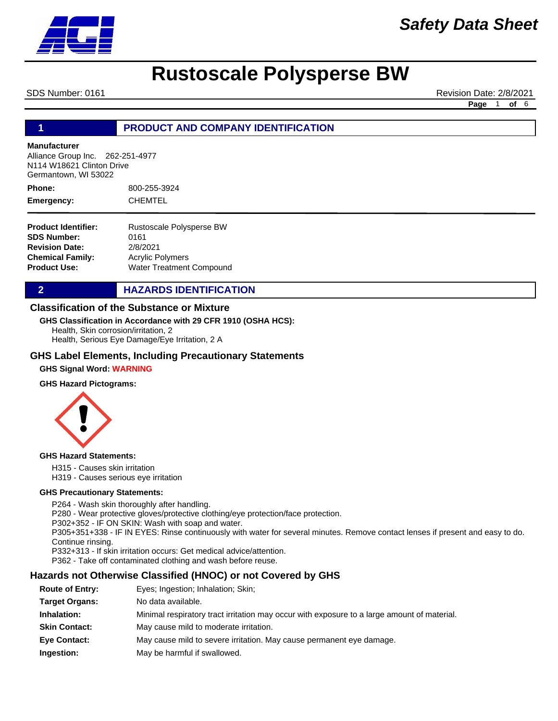

SDS Number: 0161 **Revision Date: 2/8/2021** Revision Date: 2/8/2021

**Page** 1 **of** 6

### **1 PRODUCT AND COMPANY IDENTIFICATION**

#### **Manufacturer**

Alliance Group Inc. 262-251-4977 N114 W18621 Clinton Drive Germantown, WI 53022

800-255-3924 CHEMTEL **Phone: Emergency:**

| <b>Product Identifier:</b> | Rustoscale Polysperse BW |
|----------------------------|--------------------------|
| <b>SDS Number:</b>         | 0161                     |
| <b>Revision Date:</b>      | 2/8/2021                 |
| Chemical Family:           | <b>Acrylic Polymers</b>  |
| Product Use:               | Water Treatment Compound |

**2 HAZARDS IDENTIFICATION** 

#### **Classification of the Substance or Mixture**

#### **GHS Classification in Accordance with 29 CFR 1910 (OSHA HCS):**

Health, Skin corrosion/irritation, 2

Health, Serious Eye Damage/Eye Irritation, 2 A

#### **GHS Label Elements, Including Precautionary Statements**

#### **GHS Signal Word: WARNING**

#### **GHS Hazard Pictograms:**



#### **GHS Hazard Statements:**

H315 - Causes skin irritation H319 - Causes serious eye irritation

# **GHS Precautionary Statements:**

P264 - Wash skin thoroughly after handling. P280 - Wear protective gloves/protective clothing/eye protection/face protection. P302+352 - IF ON SKIN: Wash with soap and water. P305+351+338 - IF IN EYES: Rinse continuously with water for several minutes. Remove contact lenses if present and easy to do. Continue rinsing. P332+313 - If skin irritation occurs: Get medical advice/attention. P362 - Take off contaminated clothing and wash before reuse.

### **Hazards not Otherwise Classified (HNOC) or not Covered by GHS**

| <b>Route of Entry:</b> | Eyes; Ingestion; Inhalation; Skin;                                                          |
|------------------------|---------------------------------------------------------------------------------------------|
| <b>Target Organs:</b>  | No data available.                                                                          |
| Inhalation:            | Minimal respiratory tract irritation may occur with exposure to a large amount of material. |
| <b>Skin Contact:</b>   | May cause mild to moderate irritation.                                                      |
| <b>Eve Contact:</b>    | May cause mild to severe irritation. May cause permanent eye damage.                        |
| Ingestion:             | May be harmful if swallowed.                                                                |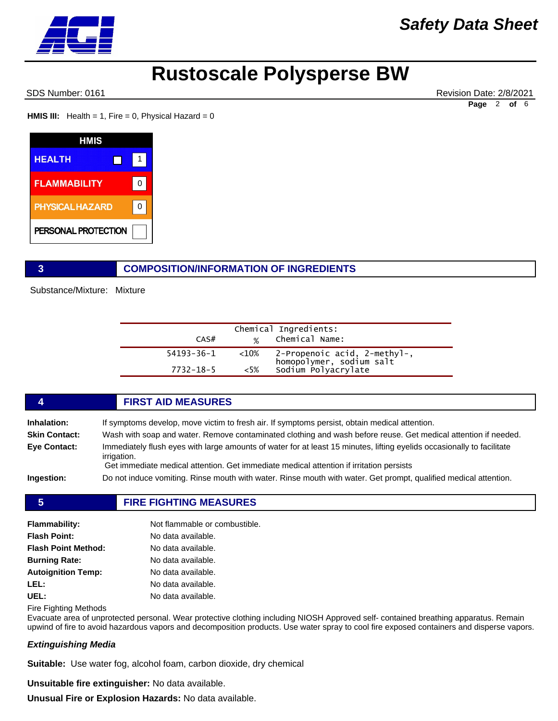SDS Number: 0161 Revision Date: 2/8/2021 **Page** 2 **of** 6

**HMIS III:** Health = 1, Fire = 0, Physical Hazard = 0

| <b>HMIS</b>            |   |
|------------------------|---|
| <b>HEALTH</b>          |   |
| <b>FLAMMABILITY</b>    | O |
| <b>PHYSICAL HAZARD</b> | ŋ |
| PERSONAL PROTECTION    |   |

### **3 COMPOSITION/INFORMATION OF INGREDIENTS**

Substance/Mixture: Mixture

| CAS#            |           | Chemical Ingredients:<br>% Chemical Name:                                       |
|-----------------|-----------|---------------------------------------------------------------------------------|
| 54193-36-1      | ${<}10\%$ | 2-Propenoic acid, 2-methyl-,<br>homopolymer, sodium salt<br>Sodium Polyacrylate |
| $7732 - 18 - 5$ | $<5\%$    |                                                                                 |

# **4 FIRST AID MEASURES Inhalation:** If symptoms develop, move victim to fresh air. If symptoms persist, obtain medical attention. **Skin Contact:** Wash with soap and water. Remove contaminated clothing and wash before reuse. Get medical attention if needed. **Eye Contact:** Immediately flush eyes with large amounts of water for at least 15 minutes, lifting eyelids occasionally to facilitate irrigation. Get immediate medical attention. Get immediate medical attention if irritation persists

**Ingestion:** Do not induce vomiting. Rinse mouth with water. Rinse mouth with water. Get prompt, qualified medical attention.

### **5 FIRE FIGHTING MEASURES**

| <b>Flammability:</b>       | Not flammable or combustible. |
|----------------------------|-------------------------------|
| <b>Flash Point:</b>        | No data available.            |
| <b>Flash Point Method:</b> | No data available.            |
| <b>Burning Rate:</b>       | No data available.            |
| <b>Autoignition Temp:</b>  | No data available.            |
| LEL:                       | No data available.            |
| UEL:                       | No data available.            |

Fire Fighting Methods

Evacuate area of unprotected personal. Wear protective clothing including NIOSH Approved self- contained breathing apparatus. Remain upwind of fire to avoid hazardous vapors and decomposition products. Use water spray to cool fire exposed containers and disperse vapors.

### *Extinguishing Media*

**Suitable:** Use water fog, alcohol foam, carbon dioxide, dry chemical

**Unsuitable fire extinguisher:** No data available.

**Unusual Fire or Explosion Hazards:** No data available.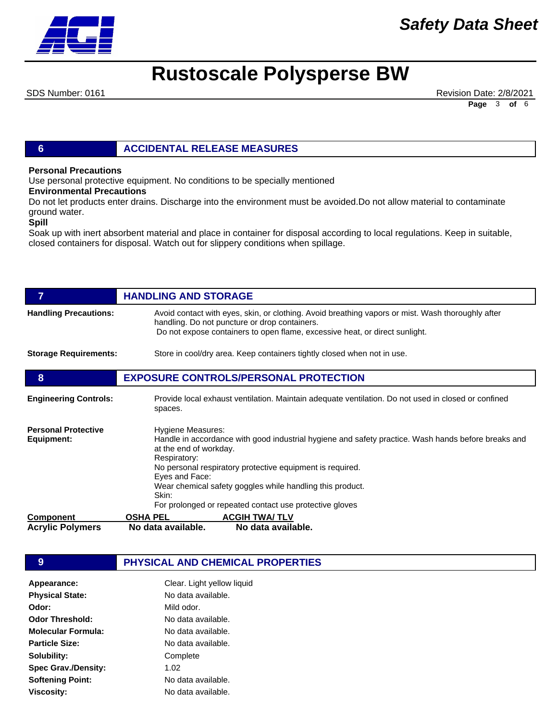

# *Safety Data Sheet*

# **Rustoscale Polysperse BW**

SDS Number: 0161 **Revision Date: 2/8/2021** Revision Date: 2/8/2021 **Page** 3 **of** 6

### **6 ACCIDENTAL RELEASE MEASURES**

#### **Personal Precautions**

Use personal protective equipment. No conditions to be specially mentioned

#### **Environmental Precautions**

Do not let products enter drains. Discharge into the environment must be avoided.Do not allow material to contaminate ground water.

#### **Spill**

Soak up with inert absorbent material and place in container for disposal according to local regulations. Keep in suitable, closed containers for disposal. Watch out for slippery conditions when spillage.

|                                          | <b>HANDLING AND STORAGE</b>                                                                                                                                                                                                                                                                                                                                                        |  |
|------------------------------------------|------------------------------------------------------------------------------------------------------------------------------------------------------------------------------------------------------------------------------------------------------------------------------------------------------------------------------------------------------------------------------------|--|
| <b>Handling Precautions:</b>             | Avoid contact with eyes, skin, or clothing. Avoid breathing vapors or mist. Wash thoroughly after<br>handling. Do not puncture or drop containers.<br>Do not expose containers to open flame, excessive heat, or direct sunlight.                                                                                                                                                  |  |
| <b>Storage Requirements:</b>             | Store in cool/dry area. Keep containers tightly closed when not in use.                                                                                                                                                                                                                                                                                                            |  |
| 8                                        | <b>EXPOSURE CONTROLS/PERSONAL PROTECTION</b>                                                                                                                                                                                                                                                                                                                                       |  |
| <b>Engineering Controls:</b>             | Provide local exhaust ventilation. Maintain adequate ventilation. Do not used in closed or confined<br>spaces.                                                                                                                                                                                                                                                                     |  |
| <b>Personal Protective</b><br>Equipment: | Hygiene Measures:<br>Handle in accordance with good industrial hygiene and safety practice. Wash hands before breaks and<br>at the end of workday.<br>Respiratory:<br>No personal respiratory protective equipment is required.<br>Eyes and Face:<br>Wear chemical safety goggles while handling this product.<br>Skin:<br>For prolonged or repeated contact use protective gloves |  |
| <b>Component</b>                         | <b>ACGIH TWA/TLV</b><br><b>OSHA PEL</b>                                                                                                                                                                                                                                                                                                                                            |  |
| <b>Acrylic Polymers</b>                  | No data available.<br>No data available.                                                                                                                                                                                                                                                                                                                                           |  |

### **9 PHYSICAL AND CHEMICAL PROPERTIES**

| Clear. Light yellow liquid |
|----------------------------|
| No data available.         |
| Mild odor.                 |
| No data available.         |
| No data available.         |
| No data available.         |
| Complete                   |
| 1.02                       |
| No data available.         |
| No data available.         |
|                            |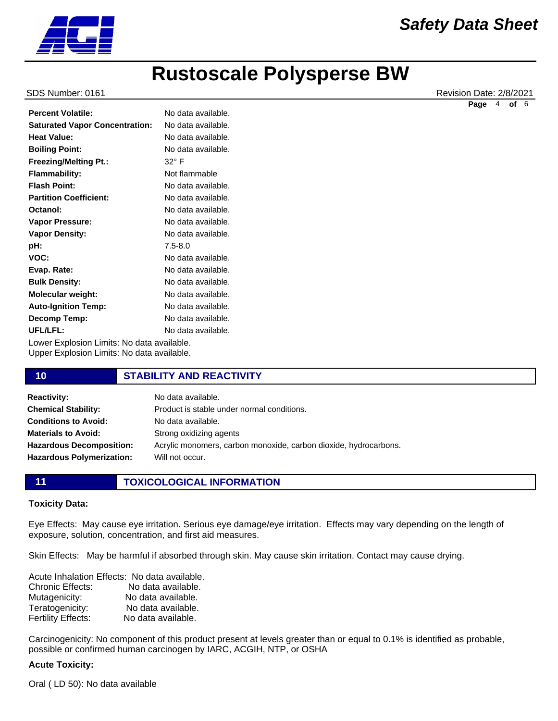

SDS Number: 0161 Revision Date: 2/8/2021

**Page** 4 **of** 6

| <b>Percent Volatile:</b>                   | No data available. |
|--------------------------------------------|--------------------|
| <b>Saturated Vapor Concentration:</b>      | No data available. |
| <b>Heat Value:</b>                         | No data available. |
| <b>Boiling Point:</b>                      | No data available. |
| <b>Freezing/Melting Pt.:</b>               | $32^{\circ}$ F     |
| <b>Flammability:</b>                       | Not flammable      |
| <b>Flash Point:</b>                        | No data available. |
| <b>Partition Coefficient:</b>              | No data available. |
| Octanol:                                   | No data available. |
| <b>Vapor Pressure:</b>                     | No data available. |
| <b>Vapor Density:</b>                      | No data available. |
| pH:                                        | $7.5 - 8.0$        |
| VOC:                                       | No data available. |
| Evap. Rate:                                | No data available. |
| <b>Bulk Density:</b>                       | No data available. |
| <b>Molecular weight:</b>                   | No data available. |
| <b>Auto-Ignition Temp:</b>                 | No data available. |
| Decomp Temp:                               | No data available. |
| UFL/LFL:                                   | No data available. |
| Lower Explosion Limits: No data available. |                    |

Upper Explosion Limits: No data available.

### **10 STABILITY AND REACTIVITY**

| <b>Reactivity:</b>               | No data available.                                               |
|----------------------------------|------------------------------------------------------------------|
| <b>Chemical Stability:</b>       | Product is stable under normal conditions.                       |
| <b>Conditions to Avoid:</b>      | No data available.                                               |
| <b>Materials to Avoid:</b>       | Strong oxidizing agents                                          |
| <b>Hazardous Decomposition:</b>  | Acrylic monomers, carbon monoxide, carbon dioxide, hydrocarbons. |
| <b>Hazardous Polymerization:</b> | Will not occur.                                                  |
|                                  |                                                                  |

## **11 TOXICOLOGICAL INFORMATION**

#### **Toxicity Data:**

Eye Effects: May cause eye irritation. Serious eye damage/eye irritation. Effects may vary depending on the length of exposure, solution, concentration, and first aid measures.

Skin Effects: May be harmful if absorbed through skin. May cause skin irritation. Contact may cause drying.

Acute Inhalation Effects: No data available. Chronic Effects: No data available. Mutagenicity: No data available. Teratogenicity: No data available. Fertility Effects: No data available.

Carcinogenicity: No component of this product present at levels greater than or equal to 0.1% is identified as probable, possible or confirmed human carcinogen by IARC, ACGIH, NTP, or OSHA

#### **Acute Toxicity:**

Oral ( LD 50): No data available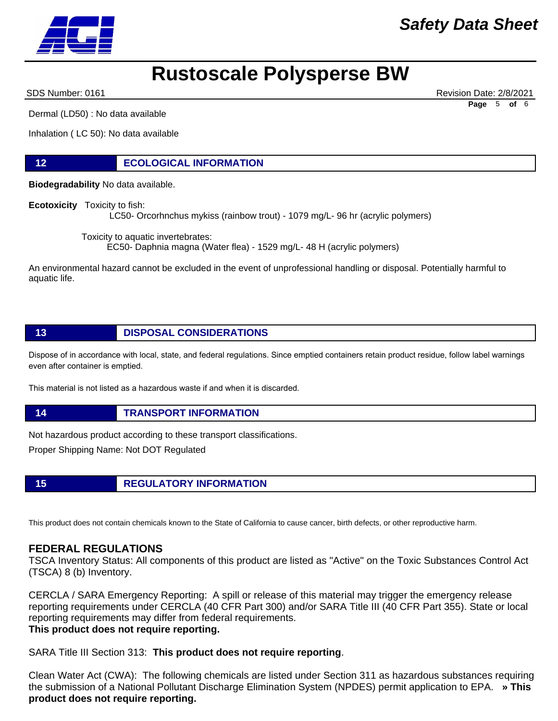SDS Number: 0161 Revision Date: 2/8/2021

Dermal (LD50) : No data available

Inhalation ( LC 50): No data available

### **12 ECOLOGICAL INFORMATION**

**Biodegradability** No data available.

**Ecotoxicity** Toxicity to fish:

LC50- Orcorhnchus mykiss (rainbow trout) - 1079 mg/L- 96 hr (acrylic polymers)

Toxicity to aquatic invertebrates:

EC50- Daphnia magna (Water flea) - 1529 mg/L- 48 H (acrylic polymers)

An environmental hazard cannot be excluded in the event of unprofessional handling or disposal. Potentially harmful to aquatic life.

## **13 DISPOSAL CONSIDERATIONS**

Dispose of in accordance with local, state, and federal regulations. Since emptied containers retain product residue, follow label warnings even after container is emptied.

This material is not listed as a hazardous waste if and when it is discarded.

**14 TRANSPORT INFORMATION**

Not hazardous product according to these transport classifications.

Proper Shipping Name: Not DOT Regulated

**15 REGULATORY INFORMATION**

This product does not contain chemicals known to the State of California to cause cancer, birth defects, or other reproductive harm.

### **FEDERAL REGULATIONS**

TSCA Inventory Status: All components of this product are listed as "Active" on the Toxic Substances Control Act (TSCA) 8 (b) Inventory.

CERCLA / SARA Emergency Reporting: A spill or release of this material may trigger the emergency release reporting requirements under CERCLA (40 CFR Part 300) and/or SARA Title III (40 CFR Part 355). State or local reporting requirements may differ from federal requirements. **This product does not require reporting.**

SARA Title III Section 313: **This product does not require reporting**.

Clean Water Act (CWA): The following chemicals are listed under Section 311 as hazardous substances requiring the submission of a National Pollutant Discharge Elimination System (NPDES) permit application to EPA. **» This product does not require reporting.**

**Page** 5 **of** 6